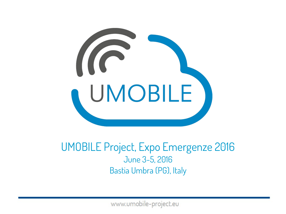

#### UMOBILE Project, Expo Emergenze 2016 June 3-5, 2016 Bastia Umbra (PG), Italy

www.umobile-project.eu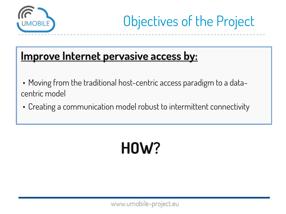

#### **Improve Internet pervasive access by:**

- Moving from the traditional host-centric access paradigm to a datacentric model
- Creating a communication model robust to intermittent connectivity

# **HOW?**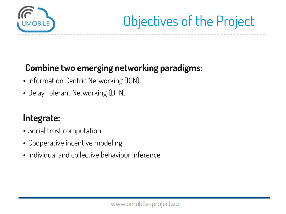

### Objectives of the Project

#### **Combine two emerging networking paradigms:**

- Information Centric Networking (ICN)
- Delay Tolerant Networking (DTN)

#### **Integrate:**

- Social trust computation
- Cooperative incentive modeling
- Individual and collective behaviour inference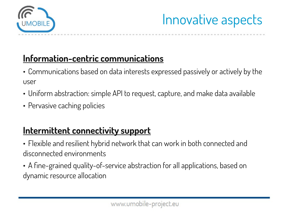

### Innovative aspects

#### **Information-centric communications**

- Communications based on data interests expressed passively or actively by the user
- Uniform abstraction: simple API to request, capture, and make data available
- Pervasive caching policies

#### **Intermittent connectivity support**

- Flexible and resilient hybrid network that can work in both connected and disconnected environments
- A fine-grained quality-of-service abstraction for all applications, based on dynamic resource allocation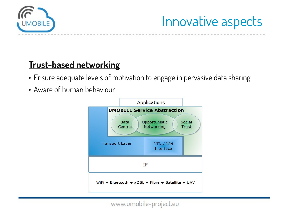

### Innovative aspects

#### **Trust-based networking**

- Ensure adequate levels of motivation to engage in pervasive data sharing
- Aware of human behaviour



www.umobile-project.eu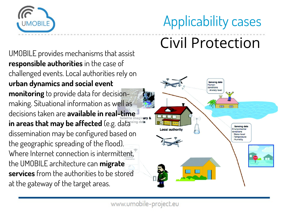

## Applicability cases

# Civil Protection

UMOBILE provides mechanisms that assist **responsible authorities** in the case of challenged events. Local authorities rely on **urban dynamics and social event monitoring** to provide data for decisionmaking. Situational information as well as decisions taken are **available in real-time**  in areas that may be affected (e.g. data dissemination may be configured based on the geographic spreading of the flood). Where Internet connection is intermittent. the UMOBILE architecture can **migrate services** from the authorities to be stored at the gateway of the target areas.

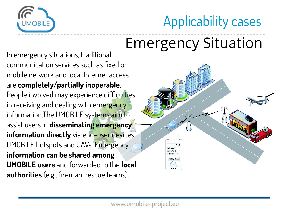

### Applicability cases

## Emergency Situation

In emergency situations, traditional communication services such as fixed or mobile network and local Internet access are **completely/partially inoperable**. People involved may experience difficulties in receiving and dealing with emergency information.The UMOBILE systems aim to assist users in **disseminating emergency information directly** via end-user devices, UMOBILE hotspots and UAVs. Emergency **information can be shared among UMOBILE users** and forwarded to the **local authorities** (e.g., fireman, rescue teams).